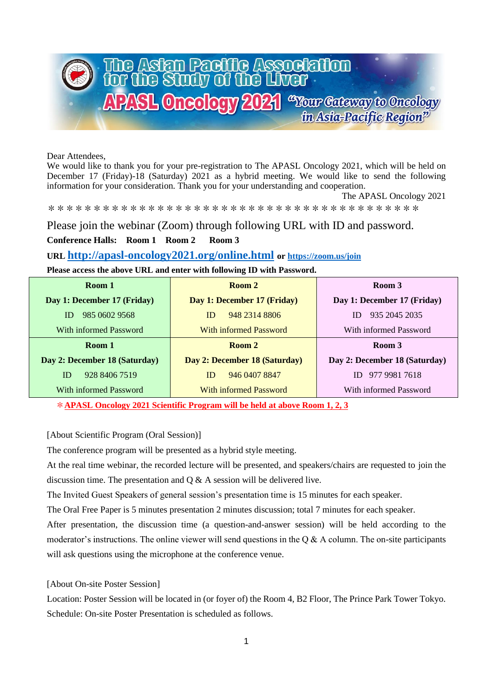

Dear Attendees,

We would like to thank you for your pre-registration to The APASL Oncology 2021, which will be held on December 17 (Friday)-18 (Saturday) 2021 as a hybrid meeting. We would like to send the following information for your consideration. Thank you for your understanding and cooperation.

The APASL Oncology 2021

\*\*\*\*\*\*\*\*\*\*\*\*\*\*\*\*\*\*\*\*\*\*\*\*\*\*\*\*\*\*\*\*\*\*\*\*\*\*\*\*\*

Please join the webinar (Zoom) through following URL with ID and password.

# **Conference Halls: Room 1 Room 2 Room 3**

## **URL <http://apasl-oncology2021.org/online.html> or<https://zoom.us/join>**

## **Please access the above URL and enter with following ID with Password.**

| Room 1                        | Room 2                        | Room 3                        |
|-------------------------------|-------------------------------|-------------------------------|
| Day 1: December 17 (Friday)   | Day 1: December 17 (Friday)   | Day 1: December 17 (Friday)   |
| 985 0602 9568<br>ID           | 948 2314 8806<br>ID           | 935 2045 2035<br>ID           |
| With informed Password        | With informed Password        | With informed Password        |
| Room 1                        | Room 2                        | Room 3                        |
| Day 2: December 18 (Saturday) | Day 2: December 18 (Saturday) | Day 2: December 18 (Saturday) |
| ID<br>928 8406 7519           | 946 0407 8847<br>ID           | 977 9981 7618<br>ID           |
| With informed Password        | With informed Password        | With informed Password        |

\***APASL Oncology 2021 Scientific Program will be held at above Room 1, 2, 3**

## [About Scientific Program (Oral Session)]

The conference program will be presented as a hybrid style meeting.

At the real time webinar, the recorded lecture will be presented, and speakers/chairs are requested to join the discussion time. The presentation and  $Q & A$  session will be delivered live.

The Invited Guest Speakers of general session's presentation time is 15 minutes for each speaker.

The Oral Free Paper is 5 minutes presentation 2 minutes discussion; total 7 minutes for each speaker.

After presentation, the discussion time (a question-and-answer session) will be held according to the moderator's instructions. The online viewer will send questions in the  $\alpha \& A$  column. The on-site participants will ask questions using the microphone at the conference venue.

## [About On-site Poster Session]

Location: Poster Session will be located in (or foyer of) the Room 4, B2 Floor, The Prince Park Tower Tokyo. Schedule: On-site Poster Presentation is scheduled as follows.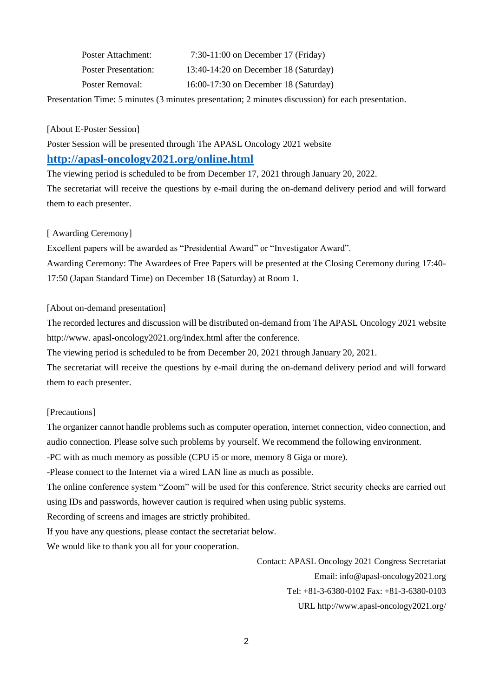| Poster Attachment:          | $7:30-11:00$ on December 17 (Friday)    |
|-----------------------------|-----------------------------------------|
| <b>Poster Presentation:</b> | 13:40-14:20 on December 18 (Saturday)   |
| Poster Removal:             | $16:00-17:30$ on December 18 (Saturday) |

Presentation Time: 5 minutes (3 minutes presentation; 2 minutes discussion) for each presentation.

[About E-Poster Session]

Poster Session will be presented through The APASL Oncology 2021 website

# **<http://apasl-oncology2021.org/online.html>**

The viewing period is scheduled to be from December 17, 2021 through January 20, 2022. The secretariat will receive the questions by e-mail during the on-demand delivery period and will forward them to each presenter.

## [ Awarding Ceremony]

Excellent papers will be awarded as "Presidential Award" or "Investigator Award". Awarding Ceremony: The Awardees of Free Papers will be presented at the Closing Ceremony during 17:40- 17:50 (Japan Standard Time) on December 18 (Saturday) at Room 1.

### [About on-demand presentation]

The recorded lectures and discussion will be distributed on-demand from The APASL Oncology 2021 website http://www. apasl-oncology2021.org/index.html after the conference.

The viewing period is scheduled to be from December 20, 2021 through January 20, 2021.

The secretariat will receive the questions by e-mail during the on-demand delivery period and will forward them to each presenter.

#### [Precautions]

The organizer cannot handle problems such as computer operation, internet connection, video connection, and audio connection. Please solve such problems by yourself. We recommend the following environment.

-PC with as much memory as possible (CPU i5 or more, memory 8 Giga or more).

-Please connect to the Internet via a wired LAN line as much as possible.

The online conference system "Zoom" will be used for this conference. Strict security checks are carried out using IDs and passwords, however caution is required when using public systems.

Recording of screens and images are strictly prohibited.

If you have any questions, please contact the secretariat below.

We would like to thank you all for your cooperation.

Contact: APASL Oncology 2021 Congress Secretariat Email: info@apasl-oncology2021.org Tel: +81-3-6380-0102 Fax: +81-3-6380-0103 URL http://www.apasl-oncology2021.org/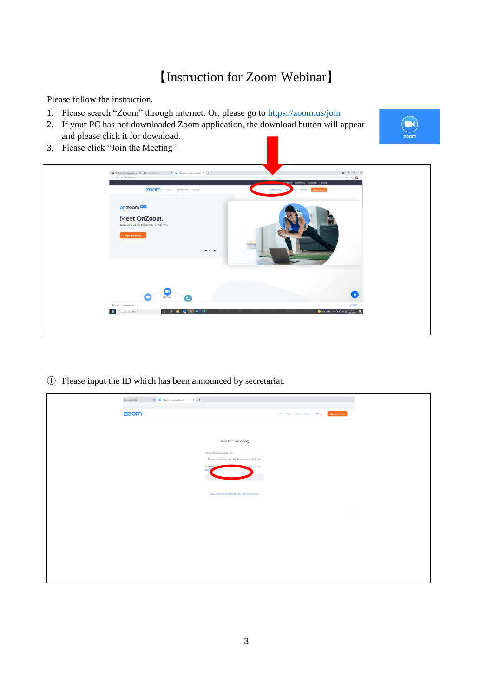# 【Instruction for Zoom Webinar】

Please follow the instruction.

- 1. Please search "Zoom" through internet. Or, please go to<https://zoom.us/join>
- 2. If your PC has not downloaded Zoom application, the download button will appear and please click it for download.
- 3. Please click "Join the Meeting"





① Please input the ID which has been announced by secretariat.

| $\times$ +<br>$\mathbf{X} = \begin{bmatrix} \bullet \\ \bullet \end{bmatrix}$ Attend a meeting-Zoom<br>Iris View Profile |                                                                                       |                                           |                 |
|--------------------------------------------------------------------------------------------------------------------------|---------------------------------------------------------------------------------------|-------------------------------------------|-----------------|
| zoom                                                                                                                     |                                                                                       | Join the meeting Hold a meeting + SIGN IN | Sign up is free |
|                                                                                                                          |                                                                                       |                                           |                 |
|                                                                                                                          | Join the meeting                                                                      |                                           |                 |
|                                                                                                                          | Meeting ID or personal link name<br>Please enter your meeting ID or personal link nam |                                           |                 |
|                                                                                                                          | By clicking<br>of Service and<br>Priva                                                |                                           |                 |
|                                                                                                                          |                                                                                       |                                           |                 |
|                                                                                                                          | Join a meeting from the H.323 / SIP room system                                       |                                           |                 |
|                                                                                                                          |                                                                                       |                                           |                 |
|                                                                                                                          |                                                                                       |                                           | $\lambda$       |
|                                                                                                                          |                                                                                       |                                           |                 |
|                                                                                                                          |                                                                                       |                                           |                 |
|                                                                                                                          |                                                                                       |                                           |                 |
|                                                                                                                          |                                                                                       |                                           |                 |
|                                                                                                                          |                                                                                       |                                           |                 |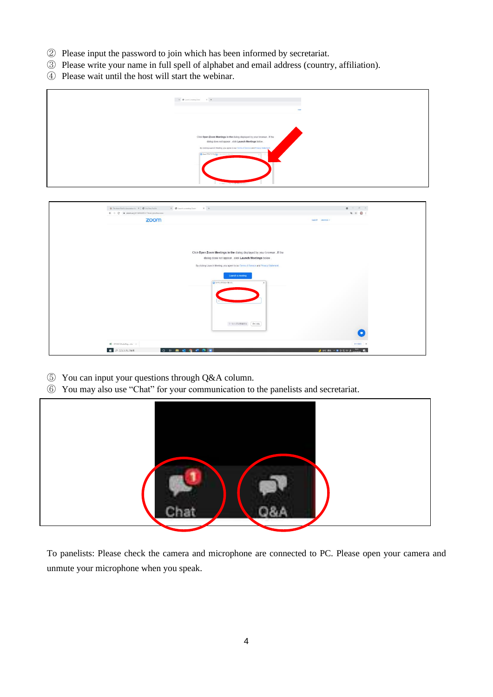- Please input the password to join which has been informed by secretariat.
- Please write your name in full spell of alphabet and email address (country, affiliation).
- Please wait until the host will start the webinar.

|                                                                                              | $\mathcal{C}=\mathfrak{G}$ to the energy from $\mathcal{C}=\mathcal{C}=\mathcal{C}$                                                                                                                                                                                  |                                                                       |
|----------------------------------------------------------------------------------------------|----------------------------------------------------------------------------------------------------------------------------------------------------------------------------------------------------------------------------------------------------------------------|-----------------------------------------------------------------------|
|                                                                                              | Click Open Zoom Meetings in the dialog displayed by your browser. If the<br>dialog does not appear, click Launch Meetings below.<br>By closing Launch Meeting, you agree to our Terms of Service and Phiety Statement<br>$\times 1$<br>A district for your substance |                                                                       |
| $\Theta$ The Asian Pacific Association for $\mathbf{x} \parallel \mathbf{0}$ fra West Portia | $\times$ $\hspace{0.1cm}$ +<br>$\mathbf{x}=\pmb{\otimes}$ (and a metrop form                                                                                                                                                                                         | $\bullet\quad\quad\quad\quad\quad\quad\quad\quad\quad\quad\quad\quad$ |
| $\leftarrow$ $\rightarrow$ C $\bullet$ zoomus.[/81445845741?trom=joinfluccess                |                                                                                                                                                                                                                                                                      | $\begin{array}{ccccc}\n\text{a} & \text{b} & \text{c}\n\end{array}$   |
| <b>BOOK</b>                                                                                  |                                                                                                                                                                                                                                                                      |                                                                       |

| $\mathbb X$ . $\pmb{\mathfrak{G}}$ is<br>not a meeting done: $\qquad \  \  \mathbb X$ .<br>$\ +$<br>$\odot$ The Asian Pacific Association for $X$ $\odot$ The Versi Perform | $\bullet\quad\quad\quad\quad\quad\quad\quad\quad\quad\quad\quad$ |
|-----------------------------------------------------------------------------------------------------------------------------------------------------------------------------|------------------------------------------------------------------|
| $\leftarrow$ $\rightarrow$ C $\bullet$ zoomus.[/81445845741?from=joinfluccess                                                                                               | 电 立 〇 1                                                          |
| zoom                                                                                                                                                                        | support Japanese v                                               |
|                                                                                                                                                                             |                                                                  |
| Click Open Zoom Meetings in the dialog displayed by your browser. If the                                                                                                    |                                                                  |
| dialog does not appear, click Launch Meetings below.                                                                                                                        |                                                                  |
| By clicking Launch Meeting, you agree to our Terms of Service and Privacy Statement.                                                                                        |                                                                  |
| Launch a meeting                                                                                                                                                            |                                                                  |
| ● 1-1000(スコードを入力                                                                                                                                                            |                                                                  |
|                                                                                                                                                                             |                                                                  |
|                                                                                                                                                                             |                                                                  |
|                                                                                                                                                                             |                                                                  |
|                                                                                                                                                                             |                                                                  |
|                                                                                                                                                                             |                                                                  |
| ニーティングに参加する [キャンセル]                                                                                                                                                         |                                                                  |
|                                                                                                                                                                             | o                                                                |
|                                                                                                                                                                             |                                                                  |
| E STC2021OsakaRegabs <                                                                                                                                                      | <b>FACER X</b>                                                   |
| <b>E PERANTINE</b><br>O . B . G . O .                                                                                                                                       | arc #h < B C C or A mm<br>E.                                     |

- You can input your questions through Q&A column.
- You may also use "Chat" for your communication to the panelists and secretariat.



To panelists: Please check the camera and microphone are connected to PC. Please open your camera and unmute your microphone when you speak.